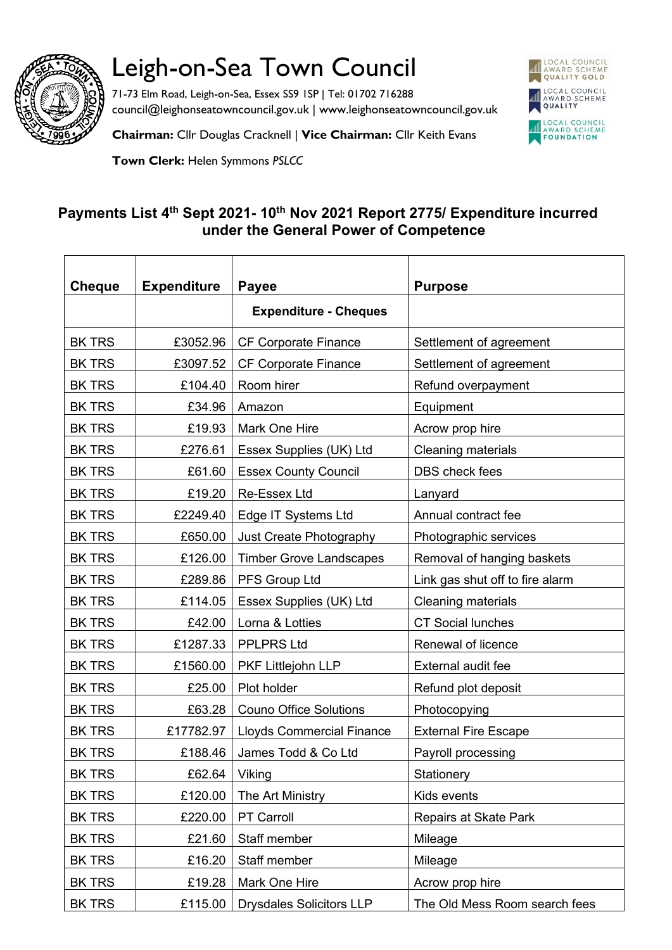

## Leigh-on-Sea Town Council

71-73 Elm Road, Leigh-on-Sea, Essex SS9 1SP | Tel: 01702 716288 council@leighonseatowncouncil.gov.uk | www.leighonseatowncouncil.gov.uk



**Chairman:** Cllr Douglas Cracknell | **Vice Chairman:** Cllr Keith Evans

**Town Clerk:** Helen Symmons *PSLCC*

## **Payments List 4 th Sept 2021- 10th Nov 2021 Report 2775/ Expenditure incurred under the General Power of Competence**

| <b>Cheque</b> | <b>Expenditure</b> | <b>Payee</b>                     | <b>Purpose</b>                  |
|---------------|--------------------|----------------------------------|---------------------------------|
|               |                    | <b>Expenditure - Cheques</b>     |                                 |
| <b>BK TRS</b> | £3052.96           | CF Corporate Finance             | Settlement of agreement         |
| <b>BK TRS</b> | £3097.52           | <b>CF Corporate Finance</b>      | Settlement of agreement         |
| <b>BK TRS</b> | £104.40            | Room hirer                       | Refund overpayment              |
| <b>BK TRS</b> | £34.96             | Amazon                           | Equipment                       |
| <b>BK TRS</b> | £19.93             | <b>Mark One Hire</b>             | Acrow prop hire                 |
| <b>BK TRS</b> | £276.61            | Essex Supplies (UK) Ltd          | <b>Cleaning materials</b>       |
| <b>BK TRS</b> | £61.60             | <b>Essex County Council</b>      | <b>DBS</b> check fees           |
| <b>BK TRS</b> | £19.20             | <b>Re-Essex Ltd</b>              | Lanyard                         |
| <b>BK TRS</b> |                    | £2249.40   Edge IT Systems Ltd   | Annual contract fee             |
| <b>BK TRS</b> | £650.00            | Just Create Photography          | Photographic services           |
| <b>BK TRS</b> | £126.00            | <b>Timber Grove Landscapes</b>   | Removal of hanging baskets      |
| <b>BK TRS</b> | £289.86            | PFS Group Ltd                    | Link gas shut off to fire alarm |
| <b>BK TRS</b> | £114.05            | Essex Supplies (UK) Ltd          | <b>Cleaning materials</b>       |
| <b>BK TRS</b> | £42.00             | Lorna & Lotties                  | <b>CT Social lunches</b>        |
| <b>BK TRS</b> | £1287.33           | <b>PPLPRS Ltd</b>                | Renewal of licence              |
| <b>BK TRS</b> | £1560.00           | PKF Littlejohn LLP               | External audit fee              |
| <b>BK TRS</b> | £25.00             | Plot holder                      | Refund plot deposit             |
| <b>BK TRS</b> | £63.28             | <b>Couno Office Solutions</b>    | Photocopying                    |
| <b>BK TRS</b> | £17782.97          | <b>Lloyds Commercial Finance</b> | <b>External Fire Escape</b>     |
| <b>BK TRS</b> | £188.46            | James Todd & Co Ltd              | Payroll processing              |
| <b>BK TRS</b> | £62.64             | Viking                           | Stationery                      |
| <b>BK TRS</b> | £120.00            | The Art Ministry                 | Kids events                     |
| <b>BK TRS</b> | £220.00            | PT Carroll                       | Repairs at Skate Park           |
| <b>BK TRS</b> | £21.60             | Staff member                     | Mileage                         |
| <b>BK TRS</b> | £16.20             | Staff member                     | Mileage                         |
| <b>BK TRS</b> | £19.28             | Mark One Hire                    | Acrow prop hire                 |
| <b>BK TRS</b> | £115.00            | <b>Drysdales Solicitors LLP</b>  | The Old Mess Room search fees   |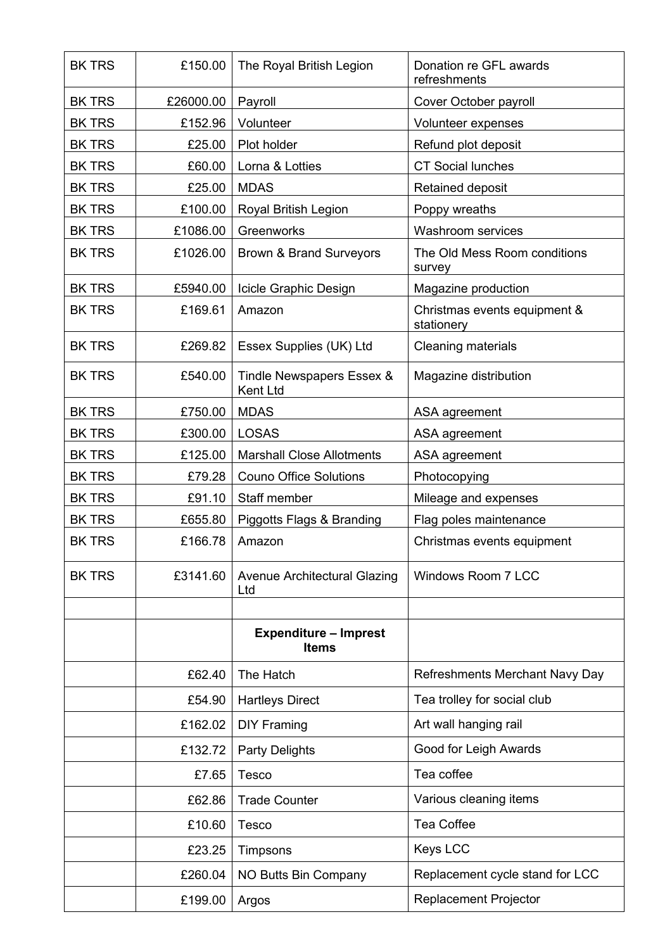| <b>BK TRS</b> | £150.00   | The Royal British Legion                     | Donation re GFL awards<br>refreshments     |
|---------------|-----------|----------------------------------------------|--------------------------------------------|
| <b>BK TRS</b> | £26000.00 | Payroll                                      | Cover October payroll                      |
| <b>BK TRS</b> | £152.96   | Volunteer                                    | Volunteer expenses                         |
| <b>BK TRS</b> | £25.00    | Plot holder                                  | Refund plot deposit                        |
| <b>BK TRS</b> | £60.00    | Lorna & Lotties                              | <b>CT Social lunches</b>                   |
| <b>BK TRS</b> | £25.00    | <b>MDAS</b>                                  | Retained deposit                           |
| <b>BK TRS</b> | £100.00   | Royal British Legion                         | Poppy wreaths                              |
| <b>BK TRS</b> | £1086.00  | Greenworks                                   | Washroom services                          |
| <b>BK TRS</b> | £1026.00  | <b>Brown &amp; Brand Surveyors</b>           | The Old Mess Room conditions<br>survey     |
| <b>BK TRS</b> | £5940.00  | Icicle Graphic Design                        | Magazine production                        |
| <b>BK TRS</b> | £169.61   | Amazon                                       | Christmas events equipment &<br>stationery |
| <b>BK TRS</b> | £269.82   | Essex Supplies (UK) Ltd                      | Cleaning materials                         |
| <b>BK TRS</b> | £540.00   | Tindle Newspapers Essex &<br><b>Kent Ltd</b> | Magazine distribution                      |
| <b>BK TRS</b> | £750.00   | <b>MDAS</b>                                  | ASA agreement                              |
| <b>BK TRS</b> | £300.00   | <b>LOSAS</b>                                 | ASA agreement                              |
| <b>BK TRS</b> | £125.00   | <b>Marshall Close Allotments</b>             | ASA agreement                              |
| <b>BK TRS</b> | £79.28    | <b>Couno Office Solutions</b>                | Photocopying                               |
| <b>BK TRS</b> | £91.10    | Staff member                                 | Mileage and expenses                       |
| <b>BK TRS</b> | £655.80   | Piggotts Flags & Branding                    | Flag poles maintenance                     |
| <b>BK TRS</b> | £166.78   | Amazon                                       | Christmas events equipment                 |
| <b>BK TRS</b> | £3141.60  | Avenue Architectural Glazing<br>Ltd          | Windows Room 7 LCC                         |
|               |           |                                              |                                            |
|               |           | <b>Expenditure - Imprest</b><br><b>Items</b> |                                            |
|               | £62.40    | The Hatch                                    | <b>Refreshments Merchant Navy Day</b>      |
|               | £54.90    | <b>Hartleys Direct</b>                       | Tea trolley for social club                |
|               | £162.02   | <b>DIY Framing</b>                           | Art wall hanging rail                      |
|               | £132.72   | <b>Party Delights</b>                        | Good for Leigh Awards                      |
|               | £7.65     | <b>Tesco</b>                                 | Tea coffee                                 |
|               | £62.86    | <b>Trade Counter</b>                         | Various cleaning items                     |
|               | £10.60    | Tesco                                        | <b>Tea Coffee</b>                          |
|               | £23.25    | Timpsons                                     | <b>Keys LCC</b>                            |
|               | £260.04   | NO Butts Bin Company                         | Replacement cycle stand for LCC            |
|               | £199.00   | Argos                                        | <b>Replacement Projector</b>               |